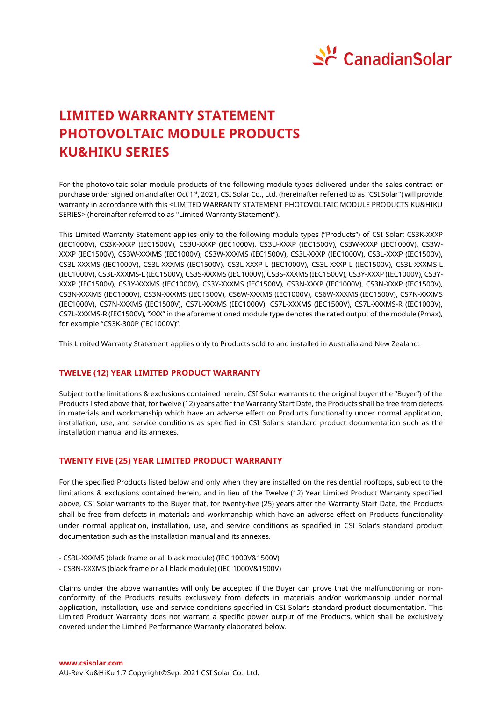

# **LIMITED WARRANTY STATEMENT PHOTOVOLTAIC MODULE PRODUCTS KU&HIKU SERIES**

For the photovoltaic solar module products of the following module types delivered under the sales contract or purchase order signed on and after Oct 1st, 2021, CSI Solar Co., Ltd. (hereinafter referred to as "CSI Solar") will provide warranty in accordance with this <LIMITED WARRANTY STATEMENT PHOTOVOLTAIC MODULE PRODUCTS KU&HIKU SERIES> (hereinafter referred to as "Limited Warranty Statement").

This Limited Warranty Statement applies only to the following module types ("Products") of CSI Solar: CS3K-XXXP (IEC1000V), CS3K-XXXP (IEC1500V), CS3U-XXXP (IEC1000V), CS3U-XXXP (IEC1500V), CS3W-XXXP (IEC1000V), CS3W-XXXP (IEC1500V), CS3W-XXXMS (IEC1000V), CS3W-XXXMS (IEC1500V), CS3L-XXXP (IEC1000V), CS3L-XXXP (IEC1500V), CS3L-XXXMS (IEC1000V), CS3L-XXXMS (IEC1500V), CS3L-XXXP-L (IEC1000V), CS3L-XXXP-L (IEC1500V), CS3L-XXXMS-L (IEC1000V), CS3L-XXXMS-L (IEC1500V), CS3S-XXXMS (IEC1000V), CS3S-XXXMS (IEC1500V), CS3Y-XXXP (IEC1000V), CS3Y-XXXP (IEC1500V), CS3Y-XXXMS (IEC1000V), CS3Y-XXXMS (IEC1500V), CS3N-XXXP (IEC1000V), CS3N-XXXP (IEC1500V), CS3N-XXXMS (IEC1000V), CS3N-XXXMS (IEC1500V), CS6W-XXXMS (IEC1000V), CS6W-XXXMS (IEC1500V), CS7N-XXXMS (IEC1000V), CS7N-XXXMS (IEC1500V), CS7L-XXXMS (IEC1000V), CS7L-XXXMS (IEC1500V), CS7L-XXXMS-R (IEC1000V), CS7L-XXXMS-R (IEC1500V), "XXX" in the aforementioned module type denotes the rated output of the module (Pmax), for example "CS3K-300P (IEC1000V)".

This Limited Warranty Statement applies only to Products sold to and installed in Australia and New Zealand.

# **TWELVE (12) YEAR LIMITED PRODUCT WARRANTY**

Subject to the limitations & exclusions contained herein, CSI Solar warrants to the original buyer (the "Buyer") of the Products listed above that, for twelve (12) years after the Warranty Start Date, the Products shall be free from defects in materials and workmanship which have an adverse effect on Products functionality under normal application, installation, use, and service conditions as specified in CSI Solar's standard product documentation such as the installation manual and its annexes.

# **TWENTY FIVE (25) YEAR LIMITED PRODUCT WARRANTY**

For the specified Products listed below and only when they are installed on the residential rooftops, subject to the limitations & exclusions contained herein, and in lieu of the Twelve (12) Year Limited Product Warranty specified above, CSI Solar warrants to the Buyer that, for twenty-five (25) years after the Warranty Start Date, the Products shall be free from defects in materials and workmanship which have an adverse effect on Products functionality under normal application, installation, use, and service conditions as specified in CSI Solar's standard product documentation such as the installation manual and its annexes.

- CS3L-XXXMS (black frame or all black module) (IEC 1000V&1500V)
- CS3N-XXXMS (black frame or all black module) (IEC 1000V&1500V)

Claims under the above warranties will only be accepted if the Buyer can prove that the malfunctioning or nonconformity of the Products results exclusively from defects in materials and/or workmanship under normal application, installation, use and service conditions specified in CSI Solar's standard product documentation. This Limited Product Warranty does not warrant a specific power output of the Products, which shall be exclusively covered under the Limited Performance Warranty elaborated below.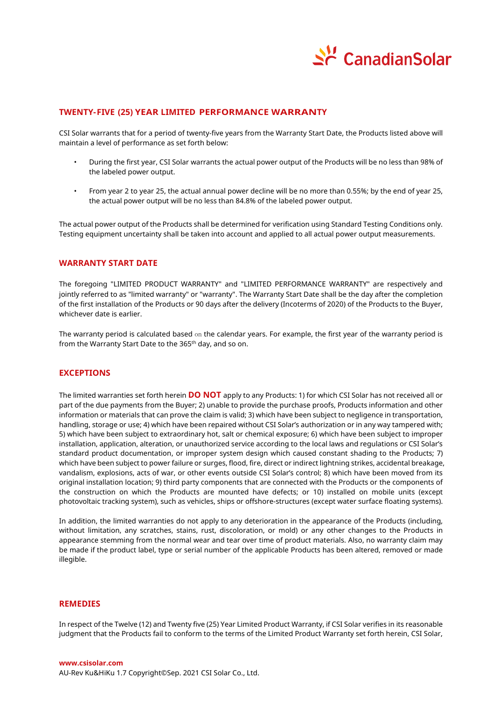

# **TWENTY-FIVE (25) YEAR LIMITED PERFORMANCE WARRANTY**

CSI Solar warrants that for a period of twenty-five years from the Warranty Start Date, the Products listed above will maintain a level of performance as set forth below:

- During the first year, CSI Solar warrants the actual power output of the Products will be no less than 98% of the labeled power output.
- From year 2 to year 25, the actual annual power decline will be no more than 0.55%; by the end of year 25, the actual power output will be no less than 84.8% of the labeled power output.

The actual power output of the Products shall be determined for verification using Standard Testing Conditions only. Testing equipment uncertainty shall be taken into account and applied to all actual power output measurements.

# **WARRANTY START DATE**

The foregoing "LIMITED PRODUCT WARRANTY" and "LIMITED PERFORMANCE WARRANTY" are respectively and jointly referred to as "limited warranty" or "warranty". The Warranty Start Date shall be the day after the completion of the first installation of the Products or 90 days after the delivery (Incoterms of 2020) of the Products to the Buyer, whichever date is earlier.

The warranty period is calculated based on the calendar years. For example, the first year of the warranty period is from the Warranty Start Date to the 365<sup>th</sup> day, and so on.

# **EXCEPTIONS**

The limited warranties set forth herein **DO NOT** apply to any Products: 1) for which CSI Solar has not received all or part of the due payments from the Buyer; 2) unable to provide the purchase proofs, Products information and other information or materials that can prove the claim is valid; 3) which have been subject to negligence in transportation, handling, storage or use; 4) which have been repaired without CSI Solar's authorization or in any way tampered with; 5) which have been subject to extraordinary hot, salt or chemical exposure; 6) which have been subject to improper installation, application, alteration, or unauthorized service according to the local laws and regulations or CSI Solar's standard product documentation, or improper system design which caused constant shading to the Products; 7) which have been subject to power failure or surges, flood, fire, direct or indirect lightning strikes, accidental breakage, vandalism, explosions, acts of war, or other events outside CSI Solar's control; 8) which have been moved from its original installation location; 9) third party components that are connected with the Products or the components of the construction on which the Products are mounted have defects; or 10) installed on mobile units (except photovoltaic tracking system), such as vehicles, ships or offshore-structures (except water surface floating systems).

In addition, the limited warranties do not apply to any deterioration in the appearance of the Products (including, without limitation, any scratches, stains, rust, discoloration, or mold) or any other changes to the Products in appearance stemming from the normal wear and tear over time of product materials. Also, no warranty claim may be made if the product label, type or serial number of the applicable Products has been altered, removed or made illegible.

## **REMEDIES**

In respect of the Twelve (12) and Twenty five (25) Year Limited Product Warranty, if CSI Solar verifies in its reasonable judgment that the Products fail to conform to the terms of the Limited Product Warranty set forth herein, CSI Solar,

**www.csisolar.com** AU-Rev Ku&HiKu 1.7 Copyright© Sep. 2021 CSI Solar Co., Ltd.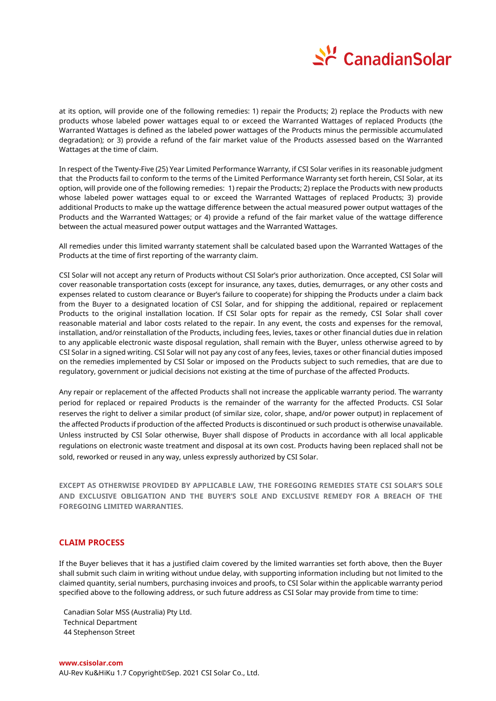

at its option, will provide one of the following remedies: 1) repair the Products; 2) replace the Products with new products whose labeled power wattages equal to or exceed the Warranted Wattages of replaced Products (the Warranted Wattages is defined as the labeled power wattages of the Products minus the permissible accumulated degradation); or 3) provide a refund of the fair market value of the Products assessed based on the Warranted Wattages at the time of claim.

In respect of the Twenty-Five (25) Year Limited Performance Warranty, if CSI Solar verifies in its reasonable judgment that the Products fail to conform to the terms of the Limited Performance Warranty set forth herein, CSI Solar, at its option, will provide one of the following remedies: 1) repair the Products; 2) replace the Products with new products whose labeled power wattages equal to or exceed the Warranted Wattages of replaced Products; 3) provide additional Products to make up the wattage difference between the actual measured power output wattages of the Products and the Warranted Wattages; or 4) provide a refund of the fair market value of the wattage difference between the actual measured power output wattages and the Warranted Wattages.

All remedies under this limited warranty statement shall be calculated based upon the Warranted Wattages of the Products at the time of first reporting of the warranty claim.

CSI Solar will not accept any return of Products without CSI Solar's prior authorization. Once accepted, CSI Solar will cover reasonable transportation costs (except for insurance, any taxes, duties, demurrages, or any other costs and expenses related to custom clearance or Buyer's failure to cooperate) for shipping the Products under a claim back from the Buyer to a designated location of CSI Solar, and for shipping the additional, repaired or replacement Products to the original installation location. If CSI Solar opts for repair as the remedy, CSI Solar shall cover reasonable material and labor costs related to the repair. In any event, the costs and expenses for the removal, installation, and/or reinstallation of the Products, including fees, levies, taxes or other financial duties due in relation to any applicable electronic waste disposal regulation, shall remain with the Buyer, unless otherwise agreed to by CSI Solar in a signed writing. CSI Solar will not pay any cost of any fees, levies, taxes or other financial duties imposed on the remedies implemented by CSI Solar or imposed on the Products subject to such remedies, that are due to regulatory, government or judicial decisions not existing at the time of purchase of the affected Products.

Any repair or replacement of the affected Products shall not increase the applicable warranty period. The warranty period for replaced or repaired Products is the remainder of the warranty for the affected Products. CSI Solar reserves the right to deliver a similar product (of similar size, color, shape, and/or power output) in replacement of the affected Products if production of the affected Products is discontinued or such product is otherwise unavailable. Unless instructed by CSI Solar otherwise, Buyer shall dispose of Products in accordance with all local applicable regulations on electronic waste treatment and disposal at its own cost. Products having been replaced shall not be sold, reworked or reused in any way, unless expressly authorized by CSI Solar.

**EXCEPT AS OTHERWISE PROVIDED BY APPLICABLE LAW, THE FOREGOING REMEDIES STATE CSI SOLAR'S SOLE AND EXCLUSIVE OBLIGATION AND THE BUYER'S SOLE AND EXCLUSIVE REMEDY FOR A BREACH OF THE FOREGOING LIMITED WARRANTIES.**

# **CLAIM PROCESS**

If the Buyer believes that it has a justified claim covered by the limited warranties set forth above, then the Buyer shall submit such claim in writing without undue delay, with supporting information including but not limited to the claimed quantity, serial numbers, purchasing invoices and proofs, to CSI Solar within the applicable warranty period specified above to the following address, or such future address as CSI Solar may provide from time to time:

Canadian Solar MSS (Australia) Pty Ltd. Technical Department 44 Stephenson Street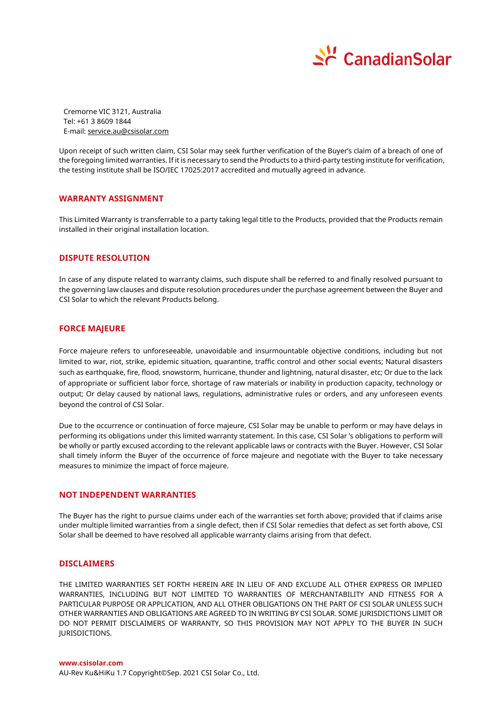

Cremorne VIC 3121, Australia Tel: +61 3 8609 1844 E-mail[: service.au@csisolar.com](mailto:service.au@csisolar.com)

Upon receipt of such written claim, CSI Solar may seek further verification of the Buyer's claim of a breach of one of the foregoing limited warranties. If it is necessary to send the Products to a third-party testing institute for verification, the testing institute shall be ISO/IEC 17025:2017 accredited and mutually agreed in advance.

## **WARRANTY ASSIGNMENT**

This Limited Warranty is transferrable to a party taking legal title to the Products, provided that the Products remain installed in their original installation location.

#### **DISPUTE RESOLUTION**

In case of any dispute related to warranty claims, such dispute shall be referred to and finally resolved pursuant to the governing law clauses and dispute resolution procedures under the purchase agreement between the Buyer and CSI Solar to which the relevant Products belong.

#### **FORCE MAJEURE**

Force majeure refers to unforeseeable, unavoidable and insurmountable objective conditions, including but not limited to war, riot, strike, epidemic situation, quarantine, traffic control and other social events; Natural disasters such as earthquake, fire, flood, snowstorm, hurricane, thunder and lightning, natural disaster, etc; Or due to the lack of appropriate or sufficient labor force, shortage of raw materials or inability in production capacity, technology or output; Or delay caused by national laws, regulations, administrative rules or orders, and any unforeseen events beyond the control of CSI Solar.

Due to the occurrence or continuation of force majeure, CSI Solar may be unable to perform or may have delays in performing its obligations under this limited warranty statement. In this case, CSI Solar 's obligations to perform will be wholly or partly excused according to the relevant applicable laws or contracts with the Buyer. However, CSI Solar shall timely inform the Buyer of the occurrence of force majeure and negotiate with the Buyer to take necessary measures to minimize the impact of force majeure.

#### **NOT INDEPENDENT WARRANTIES**

The Buyer has the right to pursue claims under each of the warranties set forth above; provided that if claims arise under multiple limited warranties from a single defect, then if CSI Solar remedies that defect as set forth above, CSI Solar shall be deemed to have resolved all applicable warranty claims arising from that defect.

# **DISCLAIMERS**

THE LIMITED WARRANTIES SET FORTH HEREIN ARE IN LIEU OF AND EXCLUDE ALL OTHER EXPRESS OR IMPLIED WARRANTIES, INCLUDING BUT NOT LIMITED TO WARRANTIES OF MERCHANTABILITY AND FITNESS FOR A PARTICULAR PURPOSE OR APPLICATION, AND ALL OTHER OBLIGATIONS ON THE PART OF CSI SOLAR UNLESS SUCH OTHER WARRANTIES AND OBLIGATIONS ARE AGREED TO IN WRITING BY CSI SOLAR. SOME JURISDICTIONS LIMIT OR DO NOT PERMIT DISCLAIMERS OF WARRANTY, SO THIS PROVISION MAY NOT APPLY TO THE BUYER IN SUCH JURISDICTIONS.